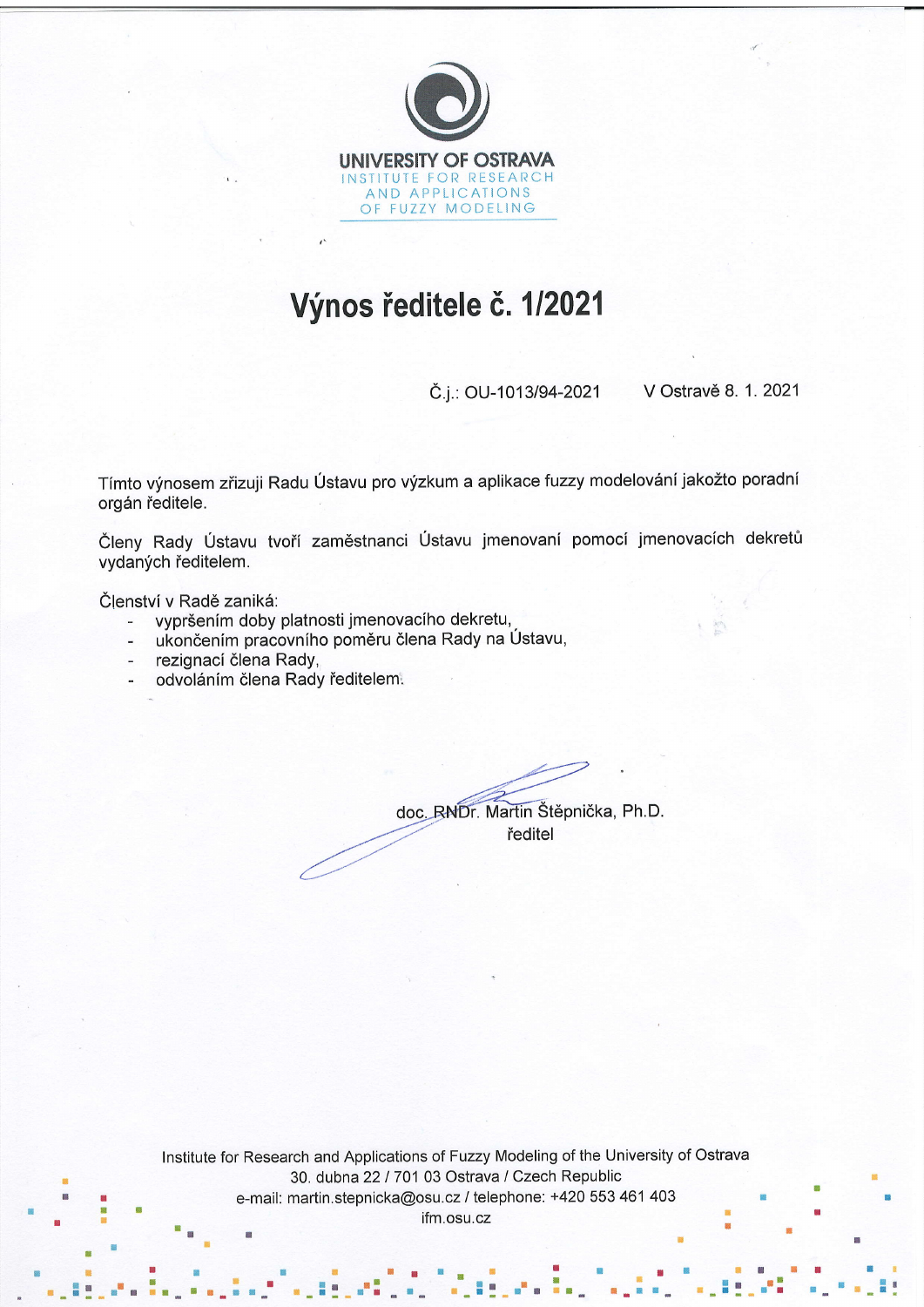

## Výnos ředitele č. 1/2021

Č.j.: OU-1013/94-2021 V Ostravě 8. 1. 2021

Tímto výnosem zřizuji Radu Ústavu pro výzkum a aplikace fuzzy modelování jakožto poradní orgán ředitele.

Členy Rady Ústavu tvoří zaměstnanci Ústavu jmenovaní pomocí jmenovacích dekretů vydaných ředitelem.

Členství v Radě zaniká:

- vypršením doby platnosti jmenovacího dekretu,  $\overline{\phantom{a}}$
- ukončením pracovního poměru člena Rady na Ústavu,  $\overline{a}$
- rezignací člena Rady,
- odvoláním člena Rady ředitelem.

doc. RNDr. Martin Štěpnička, Ph.D. ředitel

Institute for Research and Applications of Fuzzy Modeling of the University of Ostrava 30. dubna 22 / 701 03 Ostrava / Czech Republic e-mail: martin.stepnicka@osu.cz / telephone: +420 553 461 403 ifm.osu.cz